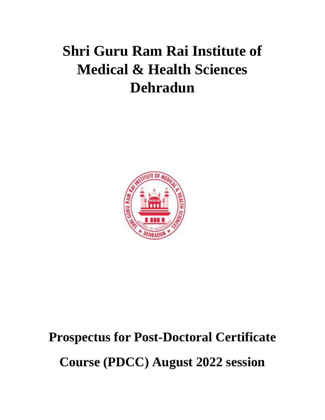# **Shri Guru Ram Rai Institute of Medical & Health Sciences Dehradun**



## **Prospectus for Post-Doctoral Certificate**

**Course (PDCC) August 2022 session**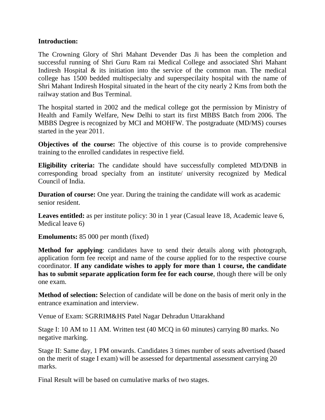### **Introduction:**

The Crowning Glory of Shri Mahant Devender Das Ji has been the completion and successful running of Shri Guru Ram rai Medical College and associated Shri Mahant Indiresh Hospital & its initiation into the service of the common man. The medical college has 1500 bedded multispecialty and superspecilaity hospital with the name of Shri Mahant Indiresh Hospital situated in the heart of the city nearly 2 Kms from both the railway station and Bus Terminal.

The hospital started in 2002 and the medical college got the permission by Ministry of Health and Family Welfare, New Delhi to start its first MBBS Batch from 2006. The MBBS Degree is recognized by MCI and MOHFW. The postgraduate (MD/MS) courses started in the year 2011.

**Objectives of the course:** The objective of this course is to provide comprehensive training to the enrolled candidates in respective field.

**Eligibility criteria:** The candidate should have successfully completed MD/DNB in corresponding broad specialty from an institute/ university recognized by Medical Council of India.

**Duration of course:** One year. During the training the candidate will work as academic senior resident.

Leaves entitled: as per institute policy: 30 in 1 year (Casual leave 18, Academic leave 6, Medical leave 6)

**Emoluments:** 85 000 per month (fixed)

**Method for applying**: candidates have to send their details along with photograph, application form fee receipt and name of the course applied for to the respective course coordinator. **If any candidate wishes to apply for more than 1 course, the candidate has to submit separate application form fee for each course**, though there will be only one exam.

**Method of selection: S**election of candidate will be done on the basis of merit only in the entrance examination and interview.

Venue of Exam: SGRRIM&HS Patel Nagar Dehradun Uttarakhand

Stage I: 10 AM to 11 AM. Written test (40 MCQ in 60 minutes) carrying 80 marks. No negative marking.

Stage II: Same day, 1 PM onwards. Candidates 3 times number of seats advertised (based on the merit of stage I exam) will be assessed for departmental assessment carrying 20 marks.

Final Result will be based on cumulative marks of two stages.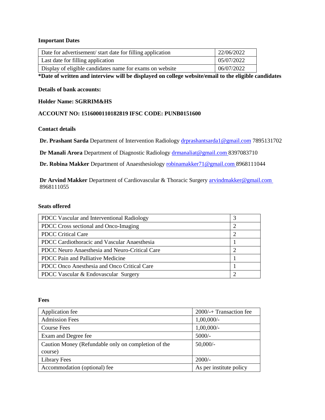#### **Important Dates**

| Date for advertisement/start date for filling application | 22/06/2022 |
|-----------------------------------------------------------|------------|
| Last date for filling application                         | 05/07/2022 |
| Display of eligible candidates name for exams on website  | 06/07/2022 |

#### **\*Date of written and interview will be displayed on college website/email to the eligible candidates**

#### **Details of bank accounts:**

#### **Holder Name: SGRRIM&HS**

#### **ACCOUNT NO: 1516000110182819 IFSC CODE: PUNB0151600**

#### **Contact details**

**Dr. Prashant Sarda** Department of Intervention Radiology [drprashantsarda1@gmail.com](mailto:drprashantsarda1@gmail.com) 7895131702

**Dr Manali Arora Department of Diagnostic Radiolog[y drmanaliat@gmail.com](mailto:drmanaliat@gmail.com) 8397083710** 

**Dr. Robina Makker** Department of Anaesthesiology [robinamakker71@gmail.com](mailto:robinamakker71@gmail.com) 8968111044

**Dr Arvind Makker** Department of Cardiovascular & Thoracic Surgery **arvindmakker@gmail.com** 8968111055

#### **Seats offered**

| PDCC Vascular and Interventional Radiology     |  |
|------------------------------------------------|--|
| PDCC Cross sectional and Onco-Imaging          |  |
| <b>PDCC</b> Critical Care                      |  |
| PDCC Cardiothoracic and Vascular Anaesthesia   |  |
| PDCC Neuro Anaesthesia and Neuro-Critical Care |  |
| PDCC Pain and Palliative Medicine              |  |
| PDCC Onco Anesthesia and Onco Critical Care    |  |
| PDCC Vascular & Endovascular Surgery           |  |

#### **Fees**

| Application fee                                     | 2000/-+ Transaction fee |
|-----------------------------------------------------|-------------------------|
| <b>Admission Fees</b>                               | $1,00,000/-$            |
| Course Fees                                         | $1,00,000/$ -           |
| Exam and Degree fee                                 | $5000/-$                |
| Caution Money (Refundable only on completion of the | $50,000/-$              |
| course)                                             |                         |
| <b>Library Fees</b>                                 | $2000/-$                |
| Accommodation (optional) fee                        | As per institute policy |